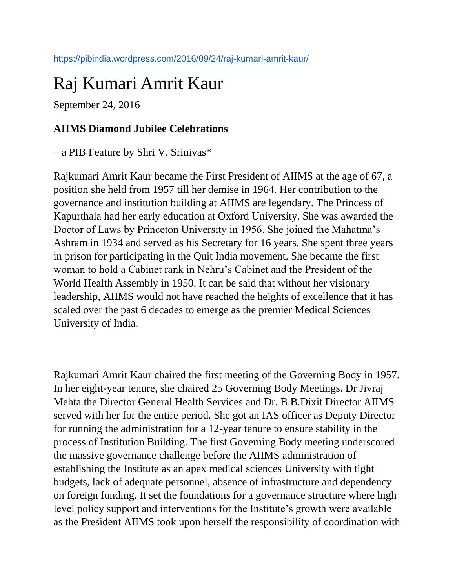# Raj Kumari Amrit Kaur

September 24, 2016

#### **AIIMS Diamond Jubilee Celebrations**

– a PIB Feature by Shri V. Srinivas\*

Rajkumari Amrit Kaur became the First President of AIIMS at the age of 67, a position she held from 1957 till her demise in 1964. Her contribution to the governance and institution building at AIIMS are legendary. The Princess of Kapurthala had her early education at Oxford University. She was awarded the Doctor of Laws by Princeton University in 1956. She joined the Mahatma's Ashram in 1934 and served as his Secretary for 16 years. She spent three years in prison for participating in the Quit India movement. She became the first woman to hold a Cabinet rank in Nehru's Cabinet and the President of the World Health Assembly in 1950. It can be said that without her visionary leadership, AIIMS would not have reached the heights of excellence that it has scaled over the past 6 decades to emerge as the premier Medical Sciences University of India.

Rajkumari Amrit Kaur chaired the first meeting of the Governing Body in 1957. In her eight-year tenure, she chaired 25 Governing Body Meetings. Dr Jivraj Mehta the Director General Health Services and Dr. B.B.Dixit Director AIIMS served with her for the entire period. She got an IAS officer as Deputy Director for running the administration for a 12-year tenure to ensure stability in the process of Institution Building. The first Governing Body meeting underscored the massive governance challenge before the AIIMS administration of establishing the Institute as an apex medical sciences University with tight budgets, lack of adequate personnel, absence of infrastructure and dependency on foreign funding. It set the foundations for a governance structure where high level policy support and interventions for the Institute's growth were available as the President AIIMS took upon herself the responsibility of coordination with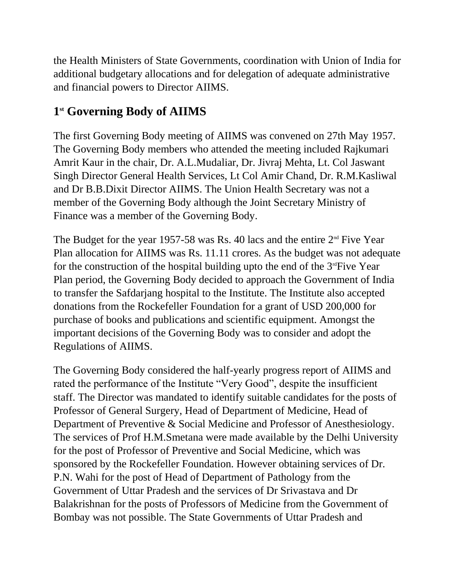the Health Ministers of State Governments, coordination with Union of India for additional budgetary allocations and for delegation of adequate administrative and financial powers to Director AIIMS.

# **1 st Governing Body of AIIMS**

The first Governing Body meeting of AIIMS was convened on 27th May 1957. The Governing Body members who attended the meeting included Rajkumari Amrit Kaur in the chair, Dr. A.L.Mudaliar, Dr. Jivraj Mehta, Lt. Col Jaswant Singh Director General Health Services, Lt Col Amir Chand, Dr. R.M.Kasliwal and Dr B.B.Dixit Director AIIMS. The Union Health Secretary was not a member of the Governing Body although the Joint Secretary Ministry of Finance was a member of the Governing Body.

The Budget for the year 1957-58 was Rs. 40 lacs and the entire  $2<sup>nd</sup>$  Five Year Plan allocation for AIIMS was Rs. 11.11 crores. As the budget was not adequate for the construction of the hospital building upto the end of the  $3<sup>rd</sup>Five Year$ Plan period, the Governing Body decided to approach the Government of India to transfer the Safdarjang hospital to the Institute. The Institute also accepted donations from the Rockefeller Foundation for a grant of USD 200,000 for purchase of books and publications and scientific equipment. Amongst the important decisions of the Governing Body was to consider and adopt the Regulations of AIIMS.

The Governing Body considered the half-yearly progress report of AIIMS and rated the performance of the Institute "Very Good", despite the insufficient staff. The Director was mandated to identify suitable candidates for the posts of Professor of General Surgery, Head of Department of Medicine, Head of Department of Preventive & Social Medicine and Professor of Anesthesiology. The services of Prof H.M.Smetana were made available by the Delhi University for the post of Professor of Preventive and Social Medicine, which was sponsored by the Rockefeller Foundation. However obtaining services of Dr. P.N. Wahi for the post of Head of Department of Pathology from the Government of Uttar Pradesh and the services of Dr Srivastava and Dr Balakrishnan for the posts of Professors of Medicine from the Government of Bombay was not possible. The State Governments of Uttar Pradesh and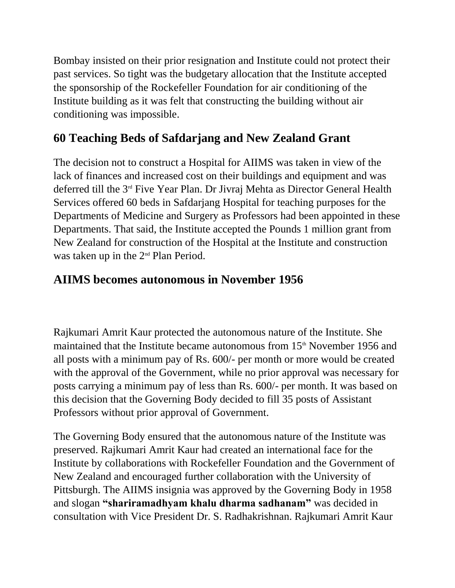Bombay insisted on their prior resignation and Institute could not protect their past services. So tight was the budgetary allocation that the Institute accepted the sponsorship of the Rockefeller Foundation for air conditioning of the Institute building as it was felt that constructing the building without air conditioning was impossible.

# **60 Teaching Beds of Safdarjang and New Zealand Grant**

The decision not to construct a Hospital for AIIMS was taken in view of the lack of finances and increased cost on their buildings and equipment and was deferred till the 3rd Five Year Plan. Dr Jivraj Mehta as Director General Health Services offered 60 beds in Safdarjang Hospital for teaching purposes for the Departments of Medicine and Surgery as Professors had been appointed in these Departments. That said, the Institute accepted the Pounds 1 million grant from New Zealand for construction of the Hospital at the Institute and construction was taken up in the  $2<sup>nd</sup>$  Plan Period.

### **AIIMS becomes autonomous in November 1956**

Rajkumari Amrit Kaur protected the autonomous nature of the Institute. She maintained that the Institute became autonomous from 15<sup>th</sup> November 1956 and all posts with a minimum pay of Rs. 600/- per month or more would be created with the approval of the Government, while no prior approval was necessary for posts carrying a minimum pay of less than Rs. 600/- per month. It was based on this decision that the Governing Body decided to fill 35 posts of Assistant Professors without prior approval of Government.

The Governing Body ensured that the autonomous nature of the Institute was preserved. Rajkumari Amrit Kaur had created an international face for the Institute by collaborations with Rockefeller Foundation and the Government of New Zealand and encouraged further collaboration with the University of Pittsburgh. The AIIMS insignia was approved by the Governing Body in 1958 and slogan **"shariramadhyam khalu dharma sadhanam"** was decided in consultation with Vice President Dr. S. Radhakrishnan. Rajkumari Amrit Kaur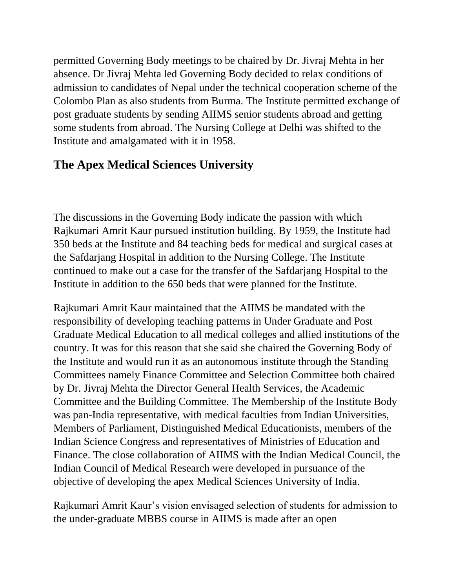permitted Governing Body meetings to be chaired by Dr. Jivraj Mehta in her absence. Dr Jivraj Mehta led Governing Body decided to relax conditions of admission to candidates of Nepal under the technical cooperation scheme of the Colombo Plan as also students from Burma. The Institute permitted exchange of post graduate students by sending AIIMS senior students abroad and getting some students from abroad. The Nursing College at Delhi was shifted to the Institute and amalgamated with it in 1958.

# **The Apex Medical Sciences University**

The discussions in the Governing Body indicate the passion with which Rajkumari Amrit Kaur pursued institution building. By 1959, the Institute had 350 beds at the Institute and 84 teaching beds for medical and surgical cases at the Safdarjang Hospital in addition to the Nursing College. The Institute continued to make out a case for the transfer of the Safdarjang Hospital to the Institute in addition to the 650 beds that were planned for the Institute.

Rajkumari Amrit Kaur maintained that the AIIMS be mandated with the responsibility of developing teaching patterns in Under Graduate and Post Graduate Medical Education to all medical colleges and allied institutions of the country. It was for this reason that she said she chaired the Governing Body of the Institute and would run it as an autonomous institute through the Standing Committees namely Finance Committee and Selection Committee both chaired by Dr. Jivraj Mehta the Director General Health Services, the Academic Committee and the Building Committee. The Membership of the Institute Body was pan-India representative, with medical faculties from Indian Universities, Members of Parliament, Distinguished Medical Educationists, members of the Indian Science Congress and representatives of Ministries of Education and Finance. The close collaboration of AIIMS with the Indian Medical Council, the Indian Council of Medical Research were developed in pursuance of the objective of developing the apex Medical Sciences University of India.

Rajkumari Amrit Kaur's vision envisaged selection of students for admission to the under-graduate MBBS course in AIIMS is made after an open